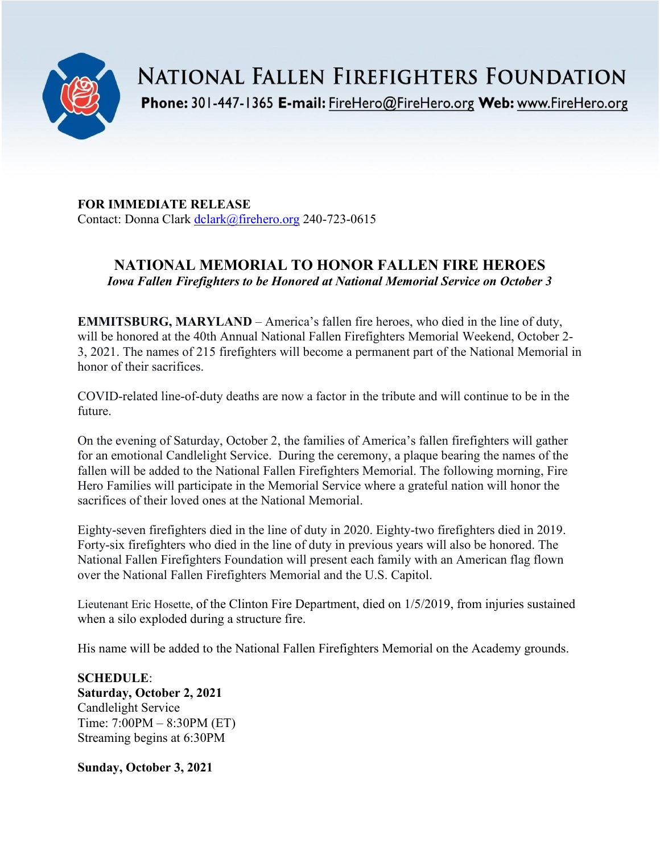

**NATIONAL FALLEN FIREFIGHTERS FOUNDATION** 

Phone: 301-447-1365 E-mail: FireHero@FireHero.org Web: www.FireHero.org

**FOR IMMEDIATE RELEASE** Contact: Donna Clark [dclark@firehero.org](mailto:dclark@firehero.org) 240-723-0615

## **NATIONAL MEMORIAL TO HONOR FALLEN FIRE HEROES** *Iowa Fallen Firefighters to be Honored at National Memorial Service on October 3*

**EMMITSBURG, MARYLAND** – America's fallen fire heroes, who died in the line of duty, will be honored at the 40th Annual National Fallen Firefighters Memorial Weekend, October 2- 3, 2021. The names of 215 firefighters will become a permanent part of the National Memorial in honor of their sacrifices.

COVID-related line-of-duty deaths are now a factor in the tribute and will continue to be in the future.

On the evening of Saturday, October 2, the families of America's fallen firefighters will gather for an emotional Candlelight Service. During the ceremony, a plaque bearing the names of the fallen will be added to the National Fallen Firefighters Memorial. The following morning, Fire Hero Families will participate in the Memorial Service where a grateful nation will honor the sacrifices of their loved ones at the National Memorial.

Eighty-seven firefighters died in the line of duty in 2020. Eighty-two firefighters died in 2019. Forty-six firefighters who died in the line of duty in previous years will also be honored. The National Fallen Firefighters Foundation will present each family with an American flag flown over the National Fallen Firefighters Memorial and the U.S. Capitol.

Lieutenant Eric Hosette, of the Clinton Fire Department, died on 1/5/2019, from injuries sustained when a silo exploded during a structure fire.

His name will be added to the National Fallen Firefighters Memorial on the Academy grounds.

**SCHEDULE**: **Saturday, October 2, 2021** Candlelight Service Time: 7:00PM – 8:30PM (ET) Streaming begins at 6:30PM

**Sunday, October 3, 2021**